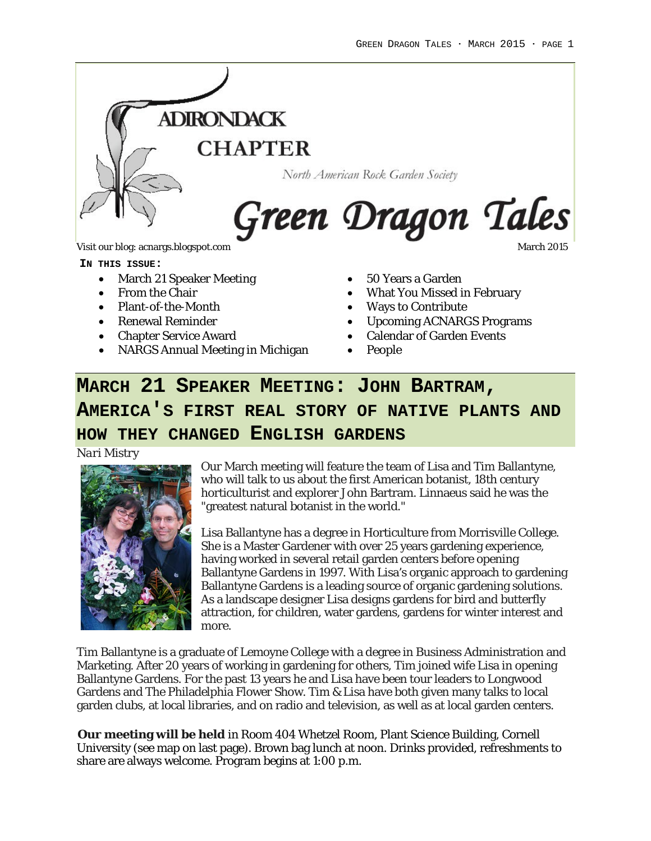

**IN THIS ISSUE:**

- March 21 Speaker Meeting
- From the Chair
- Plant-of-the-Month
- Renewal Reminder
- Chapter Service Award
- NARGS Annual Meeting in Michigan
- 50 Years a Garden
- What You Missed in February
- Ways to Contribute
- Upcoming ACNARGS Programs
- **Calendar of Garden Events**
- People

# **MARCH 21 SPEAKER MEETING: JOHN BARTRAM, AMERICA'S FIRST REAL STORY OF NATIVE PLANTS AND HOW THEY CHANGED ENGLISH GARDENS**

*Nari Mistry*



Our March meeting will feature the team of Lisa and Tim Ballantyne, who will talk to us about the first American botanist, 18th century horticulturist and explorer John Bartram. Linnaeus said he was the "greatest natural botanist in the world."

Lisa Ballantyne has a degree in Horticulture from Morrisville College. She is a Master Gardener with over 25 years gardening experience, having worked in several retail garden centers before opening Ballantyne Gardens in 1997. With Lisa's organic approach to gardening Ballantyne Gardens is a leading source of organic gardening solutions. As a landscape designer Lisa designs gardens for bird and butterfly attraction, for children, water gardens, gardens for winter interest and more.

Tim Ballantyne is a graduate of Lemoyne College with a degree in Business Administration and Marketing. After 20 years of working in gardening for others, Tim joined wife Lisa in opening Ballantyne Gardens. For the past 13 years he and Lisa have been tour leaders to Longwood Gardens and The Philadelphia Flower Show. Tim & Lisa have both given many talks to local garden clubs, at local libraries, and on radio and television, as well as at local garden centers.

**Our meeting will be held** in Room 404 Whetzel Room, Plant Science Building, Cornell University (see map on last page). Brown bag lunch at noon. Drinks provided, refreshments to share are always welcome. Program begins at 1:00 p.m.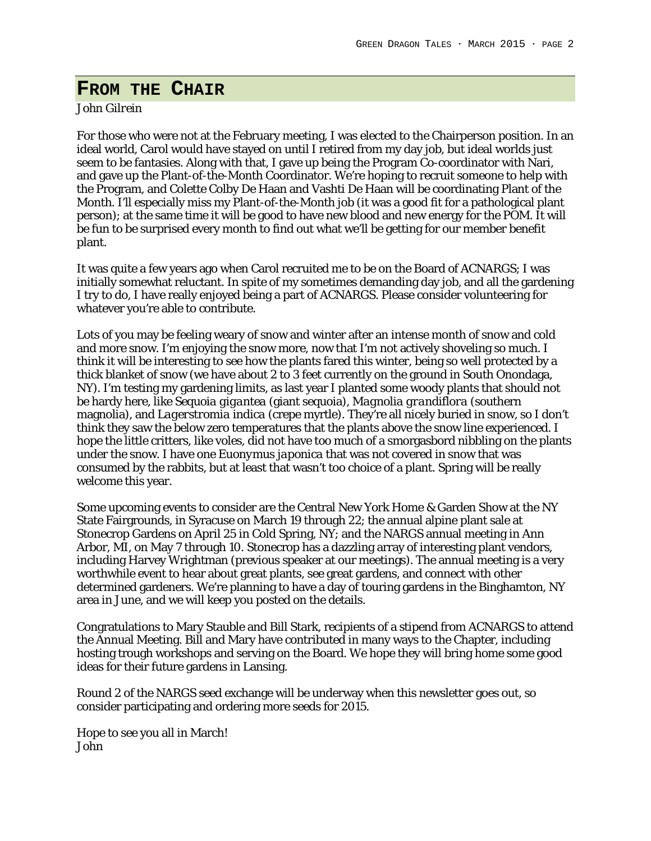### **FROM THE CHAIR**

#### *John Gilrein*

For those who were not at the February meeting, I was elected to the Chairperson position. In an ideal world, Carol would have stayed on until I retired from my day job, but ideal worlds just seem to be fantasies. Along with that, I gave up being the Program Co-coordinator with Nari, and gave up the Plant-of-the-Month Coordinator. We're hoping to recruit someone to help with the Program, and Colette Colby De Haan and Vashti De Haan will be coordinating Plant of the Month. I'll especially miss my Plant-of-the-Month job (it was a good fit for a pathological plant person); at the same time it will be good to have new blood and new energy for the POM. It will be fun to be surprised every month to find out what we'll be getting for our member benefit plant.

It was quite a few years ago when Carol recruited me to be on the Board of ACNARGS; I was initially somewhat reluctant. In spite of my sometimes demanding day job, and all the gardening I try to do, I have really enjoyed being a part of ACNARGS. Please consider volunteering for whatever you're able to contribute.

Lots of you may be feeling weary of snow and winter after an intense month of snow and cold and more snow. I'm enjoying the snow more, now that I'm not actively shoveling so much. I think it will be interesting to see how the plants fared this winter, being so well protected by a thick blanket of snow (we have about 2 to 3 feet currently on the ground in South Onondaga, NY). I'm testing my gardening limits, as last year I planted some woody plants that should not be hardy here, like *Sequoia gigantea* (giant sequoia), *Magnolia grandiflora* (southern magnolia), and *Lagerstromia indica* (crepe myrtle). They're all nicely buried in snow, so I don't think they saw the below zero temperatures that the plants above the snow line experienced. I hope the little critters, like voles, did not have too much of a smorgasbord nibbling on the plants under the snow. I have one *Euonymus japonica* that was not covered in snow that was consumed by the rabbits, but at least that wasn't too choice of a plant. Spring will be really welcome this year.

Some upcoming events to consider are the Central New York Home & Garden Show at the NY State Fairgrounds, in Syracuse on March 19 through 22; the annual alpine plant sale at Stonecrop Gardens on April 25 in Cold Spring, NY; and the NARGS annual meeting in Ann Arbor, MI, on May 7 through 10. Stonecrop has a dazzling array of interesting plant vendors, including Harvey Wrightman (previous speaker at our meetings). The annual meeting is a very worthwhile event to hear about great plants, see great gardens, and connect with other determined gardeners. We're planning to have a day of touring gardens in the Binghamton, NY area in June, and we will keep you posted on the details.

Congratulations to Mary Stauble and Bill Stark, recipients of a stipend from ACNARGS to attend the Annual Meeting. Bill and Mary have contributed in many ways to the Chapter, including hosting trough workshops and serving on the Board. We hope they will bring home some good ideas for their future gardens in Lansing.

Round 2 of the NARGS seed exchange will be underway when this newsletter goes out, so consider participating and ordering more seeds for 2015.

Hope to see you all in March! John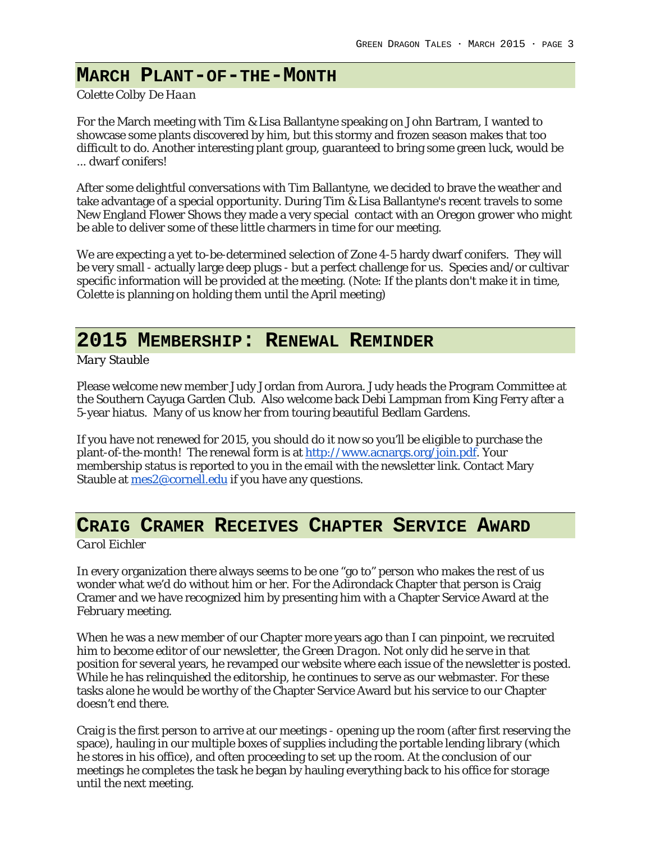### **MARCH PLANT-OF-THE-MONTH**

#### *Colette Colby De Haan*

For the March meeting with Tim & Lisa Ballantyne speaking on John Bartram, I wanted to showcase some plants discovered by him, but this stormy and frozen season makes that too difficult to do. Another interesting plant group, guaranteed to bring some green luck, would be ... dwarf conifers!

After some delightful conversations with Tim Ballantyne, we decided to brave the weather and take advantage of a special opportunity. During Tim & Lisa Ballantyne's recent travels to some New England Flower Shows they made a very special contact with an Oregon grower who might be able to deliver some of these little charmers in time for our meeting.

We are expecting a yet to-be-determined selection of Zone 4-5 hardy dwarf conifers. They will be very small - actually large deep plugs - but a perfect challenge for us. Species and/or cultivar specific information will be provided at the meeting. (Note: If the plants don't make it in time, Colette is planning on holding them until the April meeting)

## **2015 MEMBERSHIP: RENEWAL REMINDER**

*Mary Stauble*

Please welcome new member Judy Jordan from Aurora. Judy heads the Program Committee at the Southern Cayuga Garden Club. Also welcome back Debi Lampman from King Ferry after a 5-year hiatus. Many of us know her from touring beautiful Bedlam Gardens.

If you have not renewed for 2015, you should do it now so you'll be eligible to purchase the plant-of-the-month! The renewal form is at [http://www.acnargs.org/join.pdf.](http://www.acnargs.org/join.pdf) Your membership status is reported to you in the email with the newsletter link. Contact Mary Stauble at mes 2@cornell.edu if you have any questions.

## **CRAIG CRAMER RECEIVES CHAPTER SERVICE AWARD**

*Carol Eichler*

In every organization there always seems to be one "go to" person who makes the rest of us wonder what we'd do without him or her. For the Adirondack Chapter that person is Craig Cramer and we have recognized him by presenting him with a Chapter Service Award at the February meeting.

When he was a new member of our Chapter more years ago than I can pinpoint, we recruited him to become editor of our newsletter, the *Green Dragon*. Not only did he serve in that position for several years, he revamped our website where each issue of the newsletter is posted. While he has relinquished the editorship, he continues to serve as our webmaster. For these tasks alone he would be worthy of the Chapter Service Award but his service to our Chapter doesn't end there.

Craig is the first person to arrive at our meetings - opening up the room (after first reserving the space), hauling in our multiple boxes of supplies including the portable lending library (which he stores in his office), and often proceeding to set up the room. At the conclusion of our meetings he completes the task he began by hauling everything back to his office for storage until the next meeting.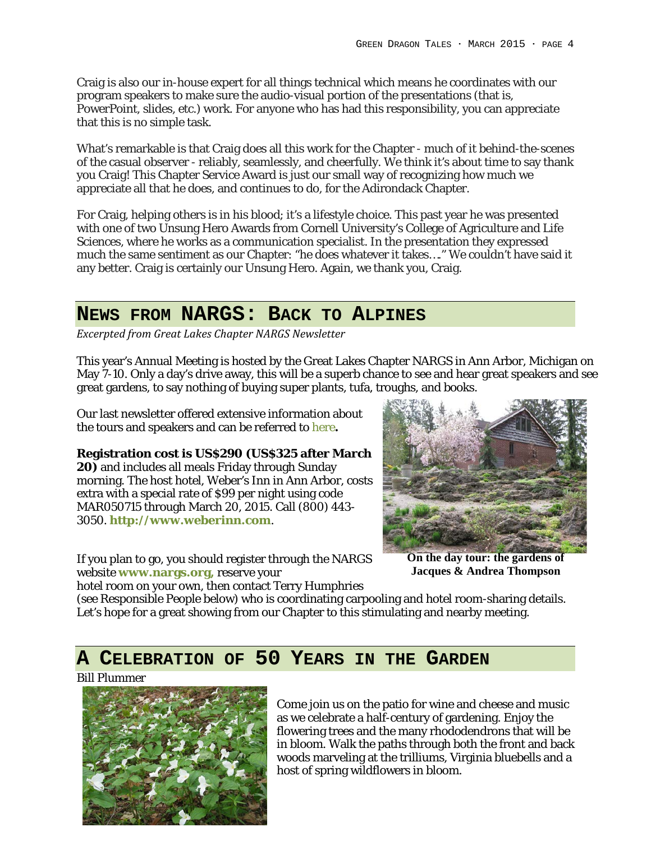Craig is also our in-house expert for all things technical which means he coordinates with our program speakers to make sure the audio-visual portion of the presentations (that is, PowerPoint, slides, etc.) work. For anyone who has had this responsibility, you can appreciate that this is no simple task.

What's remarkable is that Craig does all this work for the Chapter - much of it behind-the-scenes of the casual observer - reliably, seamlessly, and cheerfully. We think it's about time to say thank you Craig! This Chapter Service Award is just our small way of recognizing how much we appreciate all that he does, and continues to do, for the Adirondack Chapter.

For Craig, helping others is in his blood; it's a lifestyle choice. This past year he was presented with one of two Unsung Hero Awards from Cornell University's College of Agriculture and Life Sciences, where he works as a communication specialist. In the presentation they expressed much the same sentiment as our Chapter: "he does whatever it takes…." We couldn't have said it any better. Craig is certainly our Unsung Hero. Again, we thank you, Craig.

### **NEWS FROM NARGS: BACK TO ALPINES**

*Excerpted from Great Lakes Chapter NARGS Newsletter*

This year's Annual Meeting is hosted by the Great Lakes Chapter NARGS in Ann Arbor, Michigan on May 7-10. Only a day's drive away, this will be a superb chance to see and hear great speakers and see great gardens, to say nothing of buying super plants, tufa, troughs, and books.

Our last newsletter offered extensive information about the tours and speakers and can be referred to [here](http://www.acnargs.org/newsletter/201502.pdf)**.**

**Registration cost is US\$290 (US\$325 after March 20)** and includes all meals Friday through Sunday morning. The host hotel, Weber's Inn in Ann Arbor, costs extra with a special rate of \$99 per night using code MAR050715 through March 20, 2015. Call (800) 443- 3050. **[http://www.weberinn.com](http://www.weberinn.com/)**.

If you plan to go, you should register through the NARGS website **[www.nargs.org,](http://www.nargs.org/)** reserve your hotel room on your own, then contact Terry Humphries



**On the day tour: the gardens of Jacques & Andrea Thompson**

(see Responsible People below) who is coordinating carpooling and hotel room-sharing details. Let's hope for a great showing from our Chapter to this stimulating and nearby meeting.

### **A CELEBRATION OF 50 YEARS IN THE GARDEN**

*Bill Plummer*



Come join us on the patio for wine and cheese and music as we celebrate a half-century of gardening. Enjoy the flowering trees and the many rhododendrons that will be in bloom. Walk the paths through both the front and back woods marveling at the trilliums, Virginia bluebells and a host of spring wildflowers in bloom.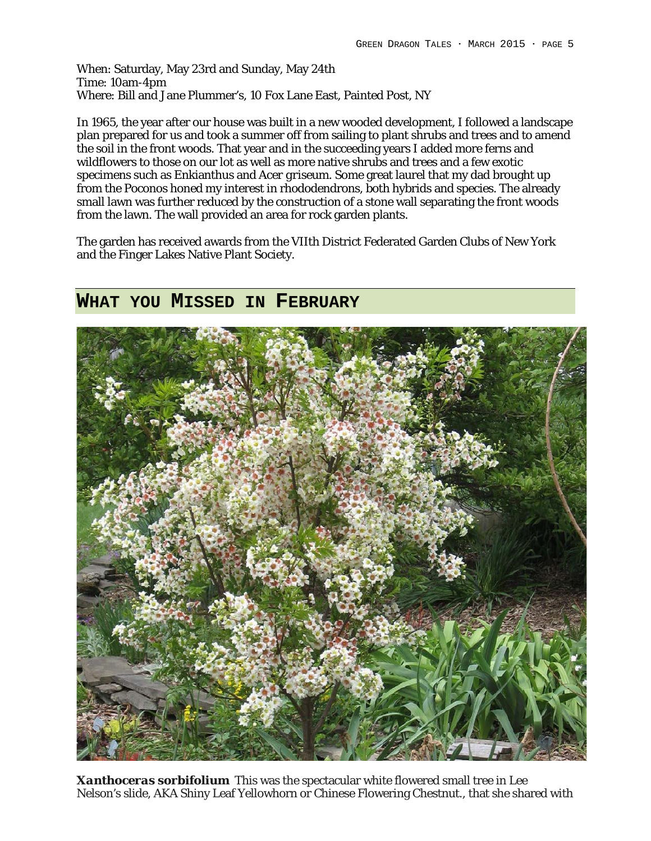When: Saturday, May 23rd and Sunday, May 24th Time: 10am-4pm Where: Bill and Jane Plummer's, 10 Fox Lane East, Painted Post, NY

In 1965, the year after our house was built in a new wooded development, I followed a landscape plan prepared for us and took a summer off from sailing to plant shrubs and trees and to amend the soil in the front woods. That year and in the succeeding years I added more ferns and wildflowers to those on our lot as well as more native shrubs and trees and a few exotic specimens such as Enkianthus and *Acer griseum*. Some great laurel that my dad brought up from the Poconos honed my interest in rhododendrons, both hybrids and species. The already small lawn was further reduced by the construction of a stone wall separating the front woods from the lawn. The wall provided an area for rock garden plants.

The garden has received awards from the VIIth District Federated Garden Clubs of New York and the Finger Lakes Native Plant Society.

#### **WHAT YOU MISSED IN FEBRUARY**



*Xanthoceras sorbifolium* This was the spectacular white flowered small tree in Lee Nelson's slide, AKA Shiny Leaf Yellowhorn or Chinese Flowering Chestnut., that she shared with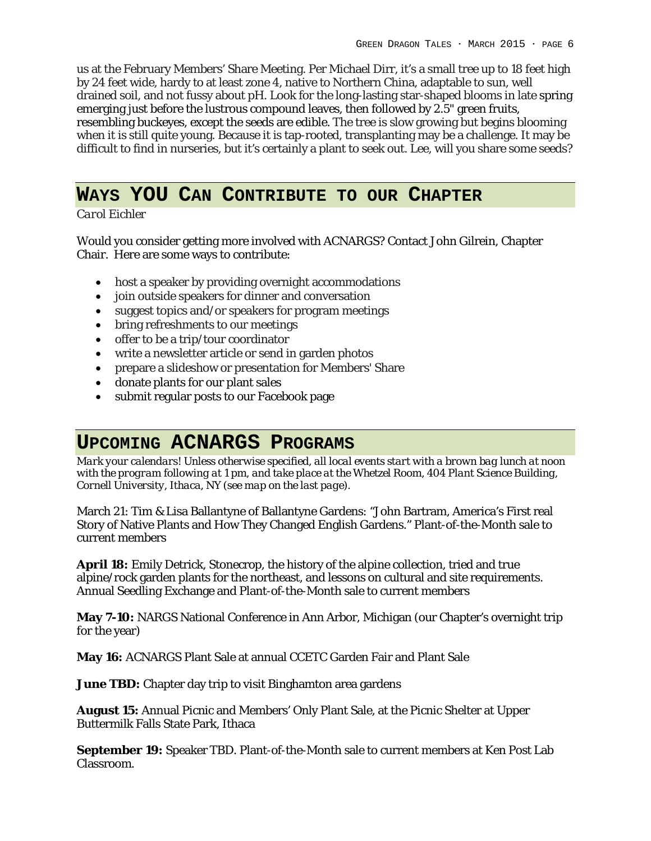us at the February Members' Share Meeting. Per Michael Dirr, it's a small tree up to 18 feet high by 24 feet wide, hardy to at least zone 4, native to Northern China, adaptable to sun, well drained soil, and not fussy about pH. Look for the long-lasting star-shaped blooms in late spring emerging just before the lustrous compound leaves, then followed by 2.5" green fruits, resembling buckeyes, except the seeds are edible. The tree is slow growing but begins blooming when it is still quite young. Because it is tap-rooted, transplanting may be a challenge. It may be difficult to find in nurseries, but it's certainly a plant to seek out. Lee, will you share some seeds?

## **WAYS YOU CAN CONTRIBUTE TO OUR CHAPTER**

*Carol Eichler*

Would you consider getting more involved with ACNARGS? Contact John Gilrein, Chapter Chair. Here are some ways to contribute:

- host a speaker by providing overnight accommodations
- join outside speakers for dinner and conversation
- suggest topics and/or speakers for program meetings
- bring refreshments to our meetings
- offer to be a trip/tour coordinator
- write a newsletter article or send in garden photos
- prepare a slideshow or presentation for Members' Share
- donate plants for our plant sales
- submit regular posts to our Facebook page

### **UPCOMING ACNARGS PROGRAMS**

*Mark your calendars! Unless otherwise specified, all local events start with a brown bag lunch at noon with the program following at 1 pm, and take place at the Whetzel Room, 404 Plant Science Building, Cornell University, Ithaca, NY (see map on the last page).*

March 21: Tim & Lisa Ballantyne of Ballantyne Gardens: "John Bartram, America's First real Story of Native Plants and How They Changed English Gardens." Plant-of-the-Month sale to current members

**April 18:** Emily Detrick, Stonecrop, the history of the alpine collection, tried and true alpine/rock garden plants for the northeast, and lessons on cultural and site requirements. Annual Seedling Exchange and Plant-of-the-Month sale to current members

**May 7-10:** NARGS National Conference in Ann Arbor, Michigan (our Chapter's overnight trip for the year)

**May 16:** ACNARGS Plant Sale at annual CCETC Garden Fair and Plant Sale

**June TBD:** Chapter day trip to visit Binghamton area gardens

**August 15:** Annual Picnic and Members' Only Plant Sale, at the Picnic Shelter at Upper Buttermilk Falls State Park, Ithaca

**September 19:** Speaker TBD. Plant-of-the-Month sale to current members at Ken Post Lab Classroom.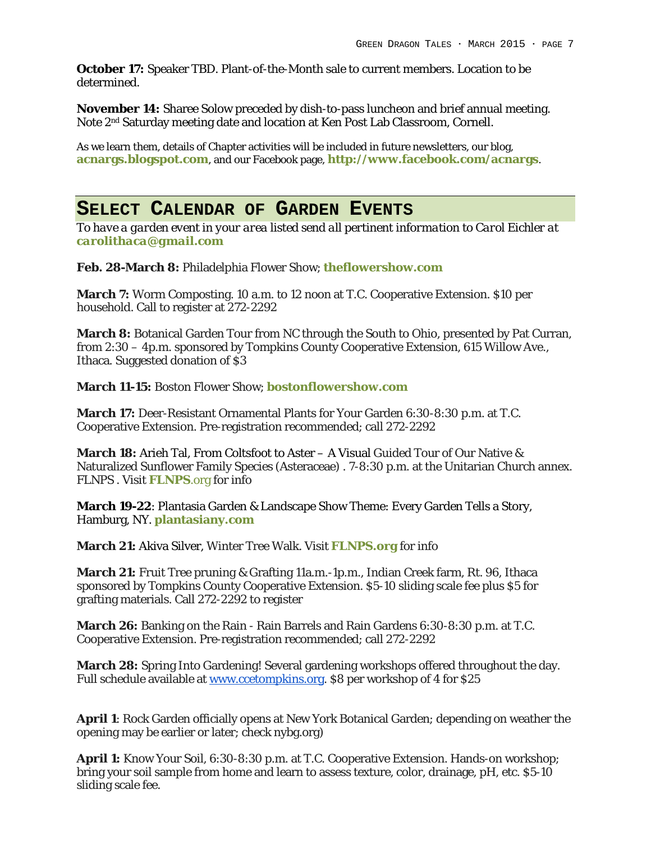**October 17:** Speaker TBD. Plant-of-the-Month sale to current members. Location to be determined.

**November 14:** Sharee Solow preceded by dish-to-pass luncheon and brief annual meeting. Note 2nd Saturday meeting date and location at Ken Post Lab Classroom, Cornell.

As we learn them, details of Chapter activities will be included in future newsletters, our blog, **acnargs.blogspot.com**, and our Facebook page, **[http://www.facebook.com/acnargs](http://acnargs.blogspot.com/)**.

#### **SELECT CALENDAR OF GARDEN EVENTS**

*To have a garden event in your area listed send all pertinent information to Carol Eichler at [carolithaca@gmail.com](mailto:carolithaca@gmail.com)*

**Feb. 28-March 8:** Philadelphia Flower Show; **[theflowershow.com](http://www.theflowershow.com/)**

**March 7:** Worm Composting. 10 a.m. to 12 noon at T.C. Cooperative Extension. \$10 per household. Call to register at 272-2292

**March 8:** Botanical Garden Tour from NC through the South to Ohio, presented by Pat Curran, from 2:30 – 4p.m. sponsored by Tompkins County Cooperative Extension, 615 Willow Ave., Ithaca. Suggested donation of \$3

**March 11-15:** Boston Flower Show; **[bostonflowershow.com](http://www.bostonflowershow.com/)**

**March 17:** Deer-Resistant Ornamental Plants for Your Garden 6:30-8:30 p.m. at T.C. Cooperative Extension. Pre-registration recommended; call 272-2292

**March 18:** Arieh Tal, From Coltsfoot to Aster – A Visual Guided Tour of Our Native & Naturalized Sunflower Family Species (Asteraceae) . 7-8:30 p.m. at the Unitarian Church annex. FLNPS . Visit **[FLNPS](http://www.flnps.org/)**.org for info

**March 19-22**: Plantasia Garden & Landscape Show Theme: Every Garden Tells a Story, Hamburg, NY. **[plantasiany.com](http://plantasiany.com/)**

**March 21:** Akiva Silver, Winter Tree Walk. Visit **[FLNPS.](http://www.flnps.org/)org** for info

**March 21:** Fruit Tree pruning & Grafting 11a.m.-1p.m., Indian Creek farm, Rt. 96, Ithaca sponsored by Tompkins County Cooperative Extension. \$5-10 sliding scale fee plus \$5 for grafting materials. Call 272-2292 to register

**March 26:** Banking on the Rain - Rain Barrels and Rain Gardens 6:30-8:30 p.m. at T.C. Cooperative Extension. Pre-registration recommended; call 272-2292

**March 28:** Spring Into Gardening! Several gardening workshops offered throughout the day. Full schedule available at [www.ccetompkins.org.](http://www.ccetompkins.org/) \$8 per workshop of 4 for \$25

**April 1**: Rock Garden officially opens at New York Botanical Garden; depending on weather the opening may be earlier or later; check nybg.org)

**April 1:** Know Your Soil, 6:30-8:30 p.m. at T.C. Cooperative Extension. Hands-on workshop; bring your soil sample from home and learn to assess texture, color, drainage, pH, etc. \$5-10 sliding scale fee.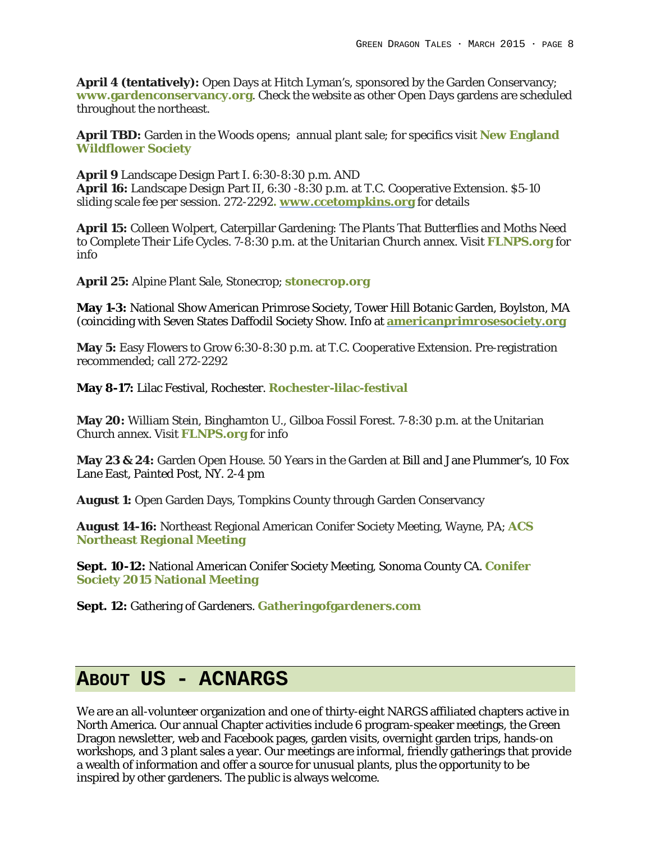**April 4 (tentatively):** Open Days at Hitch Lyman's, sponsored by the Garden Conservancy; **[www.gardenconservancy.org](https://www.gardenconservancy.org/)**. Check the website as other Open Days gardens are scheduled throughout the northeast.

**April TBD:** Garden in the Woods opens; annual plant sale; for specifics visit **[New England](http://www.newfs.org/)  [Wildflower Society](http://www.newfs.org/)**

**April 9** Landscape Design Part I. 6:30-8:30 p.m. AND **April 16:** Landscape Design Part II, 6:30 -8:30 p.m. at T.C. Cooperative Extension. \$5-10 sliding scale fee per session. 272-2292**. [www.ccetompkins.org](http://www.ccetompkins.org/)** for details

**April 15:** Colleen Wolpert, Caterpillar Gardening: The Plants That Butterflies and Moths Need to Complete Their Life Cycles. 7-8:30 p.m. at the Unitarian Church annex. Visit **[FLNPS.](http://www.flnps.org/)org** for info

**April 25:** Alpine Plant Sale, Stonecrop; **[stonecrop.org](http://www.stonecrop.org/)**

**May 1-3:** National Show American Primrose Society, Tower Hill Botanic Garden, Boylston, MA (coinciding with Seven States Daffodil Society Show. Info at **[americanprimrosesociety.org](http://www.americanprimrosesociety.org/)**

**May 5:** Easy Flowers to Grow 6:30-8:30 p.m. at T.C. Cooperative Extension. Pre-registration recommended; call 272-2292

**May 8-17:** Lilac Festival, Rochester. **Rochester-lilac-festival**

**May 20:** William Stein, Binghamton U., Gilboa Fossil Forest. 7-8:30 p.m. at the Unitarian Church annex. Visit **[FLNPS.](http://www.flnps.org/)org** for info

**May 23 & 24:** Garden Open House. 50 Years in the Garden at Bill and Jane Plummer's, 10 Fox Lane East, Painted Post, NY. 2-4 pm

**August 1:** Open Garden Days, Tompkins County through Garden Conservancy

**August 14-16:** Northeast Regional American Conifer Society Meeting, Wayne, PA; **[ACS](http://northeast.conifersociety.org/events/event/northeast-regional-meeting-main-line-philadelphia-pa-aug-14-16-2015/)  [Northeast Regional Meeting](http://northeast.conifersociety.org/events/event/northeast-regional-meeting-main-line-philadelphia-pa-aug-14-16-2015/)**

**Sept. 10-12:** National American Conifer Society Meeting, Sonoma County CA. **[Conifer](http://conifersociety.org/events/event/2015-national-meeting-held-sonoma-county-ca-sept-10-13/)  [Society 2015 National Meeting](http://conifersociety.org/events/event/2015-national-meeting-held-sonoma-county-ca-sept-10-13/)**

**Sept. 12:** Gathering of Gardeners. **[Gatheringofgardeners.com](http://www.gatheringofgardeners.com/)**

### **ABOUT US - ACNARGS**

We are an all-volunteer organization and one of thirty-eight NARGS affiliated chapters active in North America. Our annual Chapter activities include 6 program-speaker meetings, the Green Dragon newsletter, web and Facebook pages, garden visits, overnight garden trips, hands-on workshops, and 3 plant sales a year. Our meetings are informal, friendly gatherings that provide a wealth of information and offer a source for unusual plants, plus the opportunity to be inspired by other gardeners. The public is always welcome.